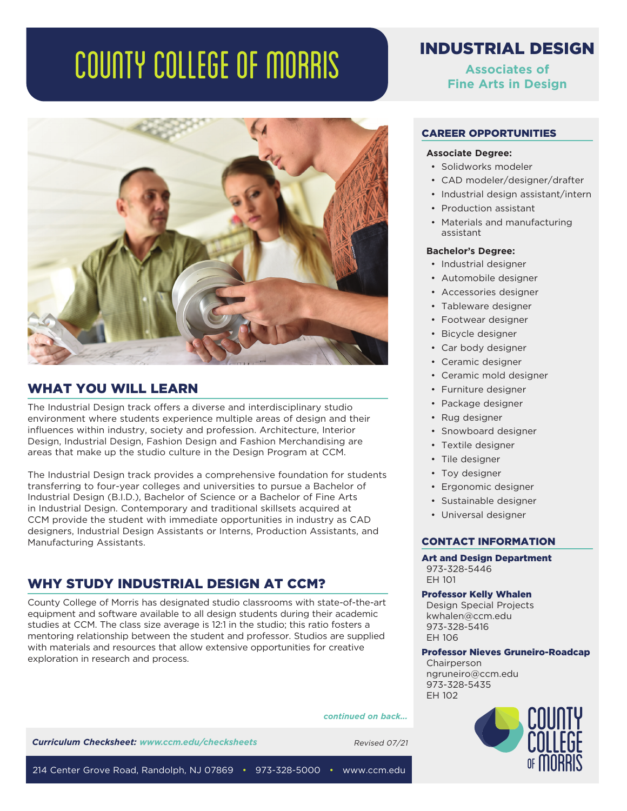# COUNTY COLLEGE OF MORRIS



# WHAT YOU WILL LEARN

The Industrial Design track offers a diverse and interdisciplinary studio environment where students experience multiple areas of design and their influences within industry, society and profession. Architecture, Interior Design, Industrial Design, Fashion Design and Fashion Merchandising are areas that make up the studio culture in the Design Program at CCM.

The Industrial Design track provides a comprehensive foundation for students transferring to four-year colleges and universities to pursue a Bachelor of Industrial Design (B.I.D.), Bachelor of Science or a Bachelor of Fine Arts in Industrial Design. Contemporary and traditional skillsets acquired at CCM provide the student with immediate opportunities in industry as CAD designers, Industrial Design Assistants or Interns, Production Assistants, and Manufacturing Assistants.

# WHY STUDY INDUSTRIAL DESIGN AT CCM?

County College of Morris has designated studio classrooms with state-of-the-art equipment and software available to all design students during their academic studies at CCM. The class size average is 12:1 in the studio; this ratio fosters a mentoring relationship between the student and professor. Studios are supplied with materials and resources that allow extensive opportunities for creative exploration in research and process.

#### *continued on back...*

**Curriculum Checksheet: www.ccm.edu/checksheets** Revised 07/21

INDUSTRIAL DESIGN

**Associates of Fine Arts in Design**

# CAREER OPPORTUNITIES

### **Associate Degree:**

- Solidworks modeler
- CAD modeler/designer/drafter
- Industrial design assistant/intern
- Production assistant
- Materials and manufacturing assistant

# **Bachelor's Degree:**

- Industrial designer
- Automobile designer
- Accessories designer
- Tableware designer
- Footwear designer
- Bicycle designer
- Car body designer
- Ceramic designer
- Ceramic mold designer
- Furniture designer
- Package designer
- Rug designer
- Snowboard designer
- Textile designer
- Tile designer
- Toy designer
- Ergonomic designer
- Sustainable designer
- Universal designer

# CONTACT INFORMATION

Art and Design Department 973-328-5446 EH 101

# Professor Kelly Whalen

Design Special Projects kwhalen@ccm.edu 973-328-5416 EH 106

# Professor Nieves Gruneiro-Roadcap

**Chairperson** ngruneiro@ccm.edu 973-328-5435 EH 102



214 Center Grove Road, Randolph, NJ 07869 • 973-328-5000 • www.ccm.edu